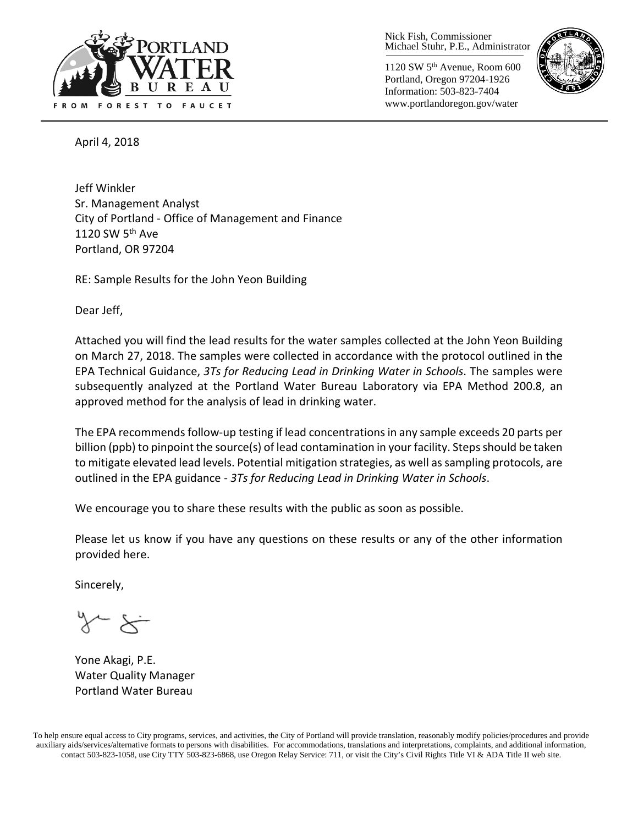

Nick Fish, Commissioner Michael Stuhr, P.E., Administrator

1120 SW 5th Avenue, Room 600 Portland, Oregon 97204-1926 Information: 503-823-7404 www.portlandoregon.gov/water



April 4, 2018

Jeff Winkler Sr. Management Analyst City of Portland - Office of Management and Finance 1120 SW 5<sup>th</sup> Ave Portland, OR 97204

RE: Sample Results for the John Yeon Building

Dear Jeff,

Attached you will find the lead results for the water samples collected at the John Yeon Building on March 27, 2018. The samples were collected in accordance with the protocol outlined in the EPA Technical Guidance, *3Ts for Reducing Lead in Drinking Water in Schools*. The samples were subsequently analyzed at the Portland Water Bureau Laboratory via EPA Method 200.8, an approved method for the analysis of lead in drinking water.

The EPA recommends follow-up testing if lead concentrations in any sample exceeds 20 parts per billion (ppb) to pinpoint the source(s) of lead contamination in your facility. Steps should be taken to mitigate elevated lead levels. Potential mitigation strategies, as well as sampling protocols, are outlined in the EPA guidance - *3Ts for Reducing Lead in Drinking Water in Schools*.

We encourage you to share these results with the public as soon as possible.

Please let us know if you have any questions on these results or any of the other information provided here.

Sincerely,

Yone Akagi, P.E. Water Quality Manager Portland Water Bureau

To help ensure equal access to City programs, services, and activities, the City of Portland will provide translation, reasonably modify policies/procedures and provide auxiliary aids/services/alternative formats to persons with disabilities. For accommodations, translations and interpretations, complaints, and additional information, contact 503-823-1058, use City TTY 503-823-6868, use Oregon Relay Service: 711, or visi[t the City's Civil Rights Title VI & ADA Title II web site.](http://www.portlandoregon.gov/oehr/66458)